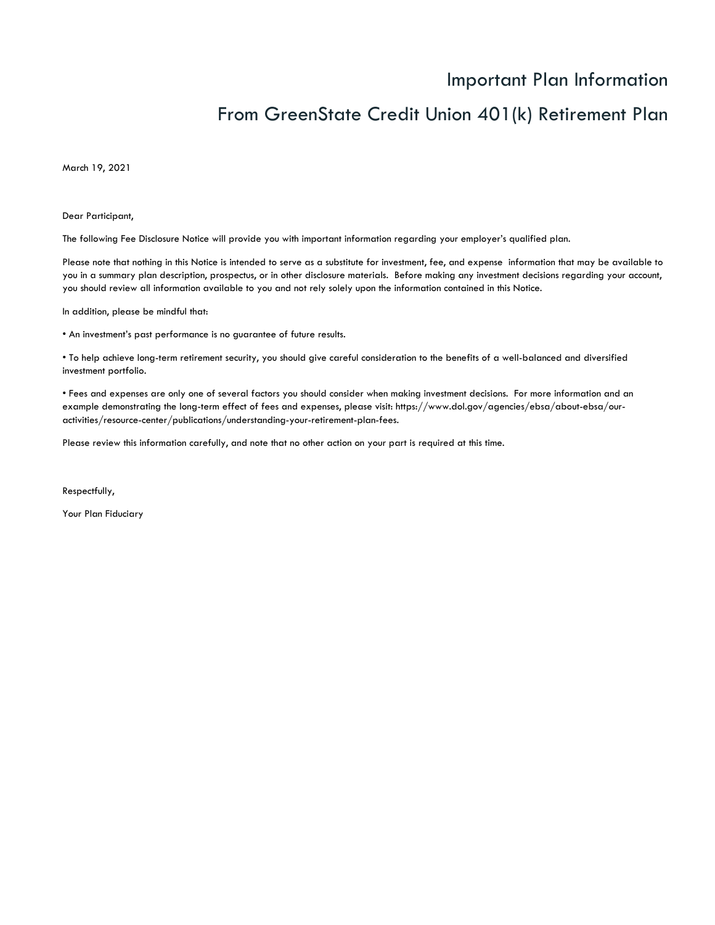## Important Plan Information

# From GreenState Credit Union 401(k) Retirement Plan

March 19, 2021

Dear Participant,

The following Fee Disclosure Notice will provide you with important information regarding your employer's qualified plan.

Please note that nothing in this Notice is intended to serve as a substitute for investment, fee, and expense information that may be available to you in a summary plan description, prospectus, or in other disclosure materials. Before making any investment decisions regarding your account, you should review all information available to you and not rely solely upon the information contained in this Notice.

In addition, please be mindful that:

• An investment's past performance is no guarantee of future results.

• To help achieve long-term retirement security, you should give careful consideration to the benefits of a well-balanced and diversified investment portfolio.

• Fees and expenses are only one of several factors you should consider when making investment decisions. For more information and an example demonstrating the long-term effect of fees and expenses, please visit: https://www.dol.gov/agencies/ebsa/about-ebsa/ouractivities/resource-center/publications/understanding-your-retirement-plan-fees.

Please review this information carefully, and note that no other action on your part is required at this time.

Respectfully,

Your Plan Fiduciary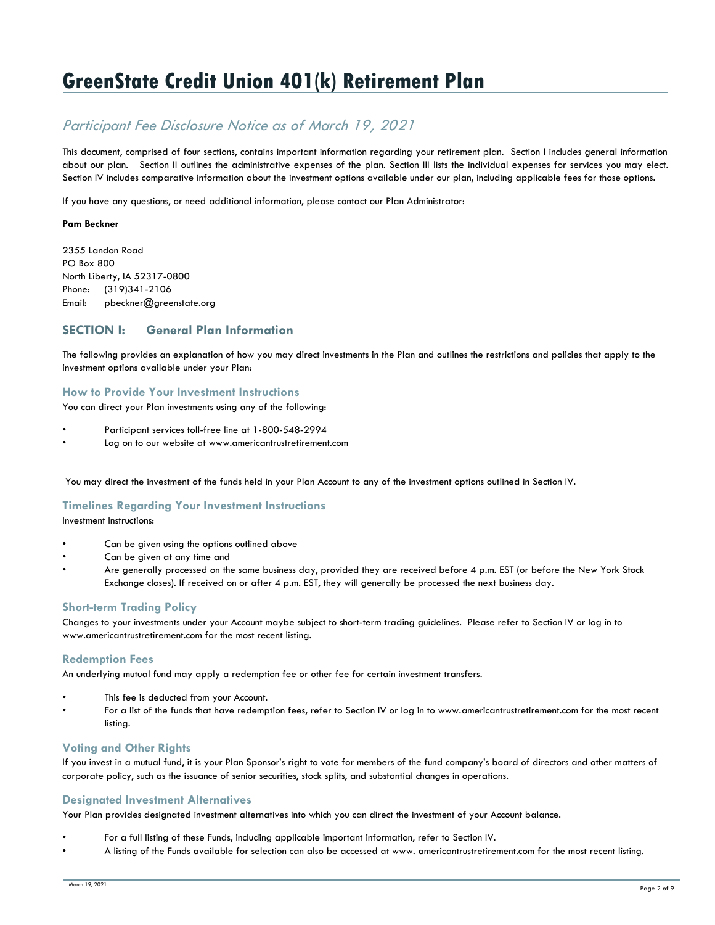# **GreenState Credit Union 401(k) Retirement Plan**

## *Participant Fee Disclosure Notice as of March 19, 2021*

This document, comprised of four sections, contains important information regarding your retirement plan. Section I includes general information about our plan. Section II outlines the administrative expenses of the plan. Section III lists the individual expenses for services you may elect. Section IV includes comparative information about the investment options available under our plan, including applicable fees for those options.

If you have any questions, or need additional information, please contact our Plan Administrator:

#### **Pam Beckner**

2355 Landon Road PO Box 800 North Liberty, IA 52317-0800 Phone: (319)341-2106 Email: pbeckner@greenstate.org

## **SECTION I: General Plan Information**

The following provides an explanation of how you may direct investments in the Plan and outlines the restrictions and policies that apply to the investment options available under your Plan:

#### **How to Provide Your Investment Instructions**

You can direct your Plan investments using any of the following:

- Participant services toll-free line at 1-800-548-2994
- Log on to our website at www.americantrustretirement.com

You may direct the investment of the funds held in your Plan Account to any of the investment options outlined in Section IV.

#### **Timelines Regarding Your Investment Instructions**

Investment Instructions:

- Can be given using the options outlined above
- Can be given at any time and
- Are generally processed on the same business day, provided they are received before 4 p.m. EST (or before the New York Stock Exchange closes). If received on or after 4 p.m. EST, they will generally be processed the next business day.

#### **Short-term Trading Policy**

Changes to your investments under your Account maybe subject to short-term trading guidelines. Please refer to Section IV or log in to www.americantrustretirement.com for the most recent listing.

#### **Redemption Fees**

An underlying mutual fund may apply a redemption fee or other fee for certain investment transfers.

- This fee is deducted from your Account.
- For a list of the funds that have redemption fees, refer to Section IV or log in to www.americantrustretirement.com for the most recent listing.

## **Voting and Other Rights**

If you invest in a mutual fund, it is your Plan Sponsor's right to vote for members of the fund company's board of directors and other matters of corporate policy, such as the issuance of senior securities, stock splits, and substantial changes in operations.

## **Designated Investment Alternatives**

Your Plan provides designated investment alternatives into which you can direct the investment of your Account balance.

- For a full listing of these Funds, including applicable important information, refer to Section IV.
- A listing of the Funds available for selection can also be accessed at www. americantrustretirement.com for the most recent listing.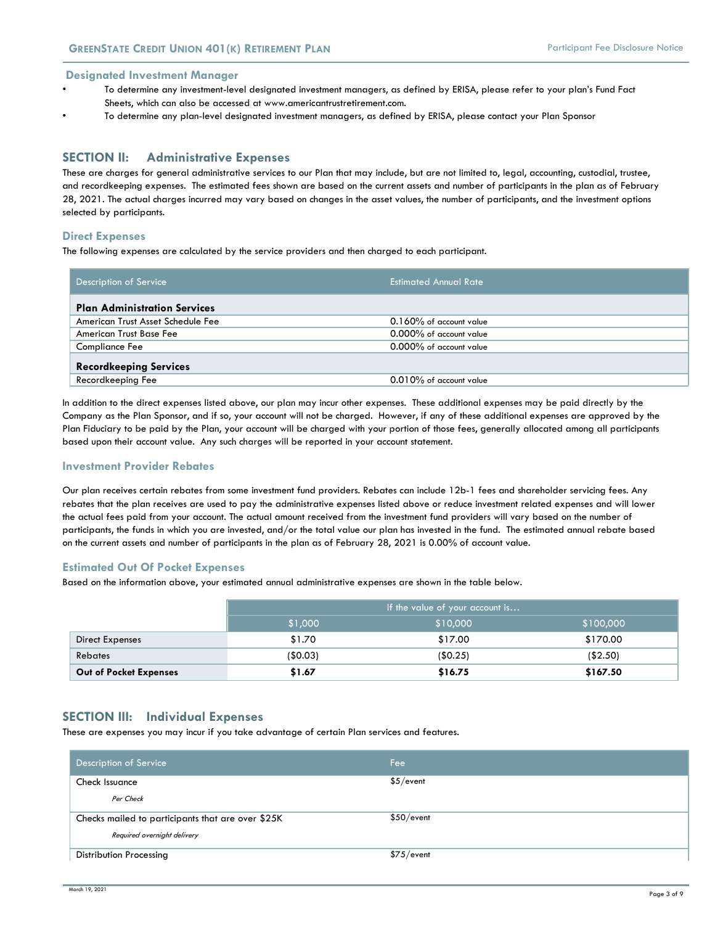**Designated Investment Manager**

- To determine any investment-level designated investment managers, as defined by ERISA, please refer to your plan's Fund Fact Sheets, which can also be accessed at www.americantrustretirement.com.
- To determine any plan-level designated investment managers, as defined by ERISA, please contact your Plan Sponsor

#### **SECTION II: Administrative Expenses**

These are charges for general administrative services to our Plan that may include, but are not limited to, legal, accounting, custodial, trustee, and recordkeeping expenses. The estimated fees shown are based on the current assets and number of participants in the plan as of February 28, 2021. The actual charges incurred may vary based on changes in the asset values, the number of participants, and the investment options selected by participants.

#### **Direct Expenses**

The following expenses are calculated by the service providers and then charged to each participant.

| Description of Service              | <b>Estimated Annual Rate</b> |
|-------------------------------------|------------------------------|
| <b>Plan Administration Services</b> |                              |
| American Trust Asset Schedule Fee   | 0.160% of account value      |
| American Trust Base Fee             | 0.000% of account value      |
| <b>Compliance Fee</b>               | 0.000% of account value      |
| <b>Recordkeeping Services</b>       |                              |
| Recordkeeping Fee                   | 0.010% of account value      |

In addition to the direct expenses listed above, our plan may incur other expenses. These additional expenses may be paid directly by the Company as the Plan Sponsor, and if so, your account will not be charged. However, if any of these additional expenses are approved by the Plan Fiduciary to be paid by the Plan, your account will be charged with your portion of those fees, generally allocated among all participants based upon their account value. Any such charges will be reported in your account statement.

#### **Investment Provider Rebates**

Our plan receives certain rebates from some investment fund providers. Rebates can include 12b-1 fees and shareholder servicing fees. Any rebates that the plan receives are used to pay the administrative expenses listed above or reduce investment related expenses and will lower the actual fees paid from your account. The actual amount received from the investment fund providers will vary based on the number of participants, the funds in which you are invested, and/or the total value our plan has invested in the fund. The estimated annual rebate based on the current assets and number of participants in the plan as of February 28, 2021 is 0.00% of account value.

#### **Estimated Out Of Pocket Expenses**

Based on the information above, your estimated annual administrative expenses are shown in the table below.

|                        | If the value of your account is  |          |          |  |  |  |
|------------------------|----------------------------------|----------|----------|--|--|--|
|                        | \$1,000<br>\$100,000<br>\$10,000 |          |          |  |  |  |
| Direct Expenses        | \$1.70                           | \$17.00  | \$170.00 |  |  |  |
| <b>Rebates</b>         | (\$0.03)                         | (\$0.25) | (\$2.50) |  |  |  |
| Out of Pocket Expenses | \$1.67                           | \$16.75  | \$167.50 |  |  |  |

#### **SECTION III: Individual Expenses**

These are expenses you may incur if you take advantage of certain Plan services and features.

| Description of Service                            | Fee        |
|---------------------------------------------------|------------|
| Check Issuance                                    | \$5/event  |
| Per Check                                         |            |
| Checks mailed to participants that are over \$25K | \$50/event |
| Required overnight delivery                       |            |
| <b>Distribution Processing</b>                    | \$75/event |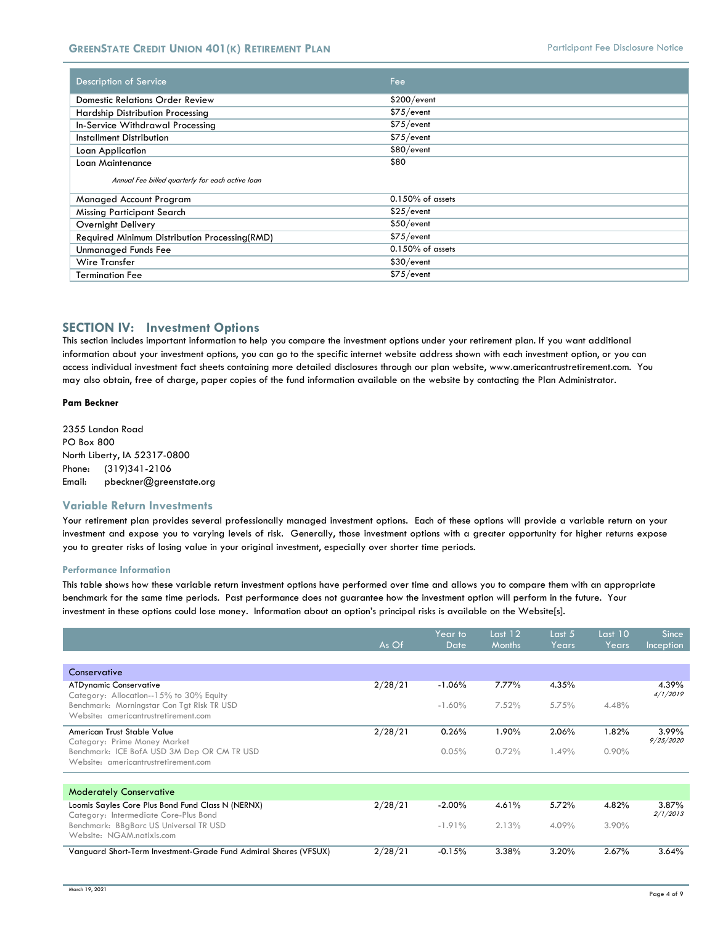| Description of Service                           | Fee                 |
|--------------------------------------------------|---------------------|
| <b>Domestic Relations Order Review</b>           | \$200/event         |
| Hardship Distribution Processing                 | \$75/event          |
| In-Service Withdrawal Processing                 | \$75/event          |
| Installment Distribution                         | \$75/event          |
| Loan Application                                 | \$80/event          |
| Loan Maintenance                                 | \$80                |
| Annual Fee billed quarterly for each active loan |                     |
| Managed Account Program                          | $0.150\%$ of assets |
| Missing Participant Search                       | \$25/event          |
| <b>Overnight Delivery</b>                        | \$50/event          |
| Required Minimum Distribution Processing(RMD)    | \$75/event          |
| Unmanaged Funds Fee                              | $0.150\%$ of assets |
| Wire Transfer                                    | \$30/event          |
| <b>Termination Fee</b>                           | \$75/event          |

## **SECTION IV: Investment Options**

This section includes important information to help you compare the investment options under your retirement plan. If you want additional information about your investment options, you can go to the specific internet website address shown with each investment option, or you can access individual investment fact sheets containing more detailed disclosures through our plan website, www.americantrustretirement.com. You may also obtain, free of charge, paper copies of the fund information available on the website by contacting the Plan Administrator.

#### **Pam Beckner**

2355 Landon Road PO Box 800 North Liberty, IA 52317-0800 Phone: (319)341-2106 Email: pbeckner@greenstate.org

#### **Variable Return Investments**

Your retirement plan provides several professionally managed investment options. Each of these options will provide a variable return on your investment and expose you to varying levels of risk. Generally, those investment options with a greater opportunity for higher returns expose you to greater risks of losing value in your original investment, especially over shorter time periods.

#### **Performance Information**

This table shows how these variable return investment options have performed over time and allows you to compare them with an appropriate benchmark for the same time periods. Past performance does not guarantee how the investment option will perform in the future. Your investment in these options could lose money. Information about an option's principal risks is available on the Website[s].

|                                                                                            | As Of   | Year to<br>Date | Last $12$<br><b>Months</b> | Last 5<br>Years | Last 10<br>Years | <b>Since</b><br>Inception |
|--------------------------------------------------------------------------------------------|---------|-----------------|----------------------------|-----------------|------------------|---------------------------|
|                                                                                            |         |                 |                            |                 |                  |                           |
| Conservative                                                                               |         |                 |                            |                 |                  |                           |
| <b>ATDynamic Conservative</b><br>Category: Allocation--15% to 30% Equity                   | 2/28/21 | $-1.06%$        | 7.77%                      | 4.35%           |                  | 4.39%<br>4/1/2019         |
| Benchmark: Morningstar Con Tat Risk TR USD<br>Website: americantrustretirement.com         |         | $-1.60%$        | 7.52%                      | 5.75%           | 4.48%            |                           |
| American Trust Stable Value<br>Category: Prime Money Market                                | 2/28/21 | 0.26%           | 1.90%                      | 2.06%           | 1.82%            | $3.99\%$<br>9/25/2020     |
| Benchmark: ICE BofA USD 3M Dep OR CM TR USD<br>Website: americantrustretirement.com        |         | 0.05%           | 0.72%                      | 1.49%           | $0.90\%$         |                           |
|                                                                                            |         |                 |                            |                 |                  |                           |
| <b>Moderately Conservative</b>                                                             |         |                 |                            |                 |                  |                           |
| Loomis Sayles Core Plus Bond Fund Class N (NERNX)<br>Category: Intermediate Core-Plus Bond | 2/28/21 | $-2.00%$        | 4.61%                      | 5.72%           | 4.82%            | $3.87\%$<br>2/1/2013      |
| Benchmark: BBgBarc US Universal TR USD<br>Website: NGAM.natixis.com                        |         | $-1.91%$        | 2.13%                      | 4.09%           | $3.90\%$         |                           |
| Vanguard Short-Term Investment-Grade Fund Admiral Shares (VFSUX)                           | 2/28/21 | $-0.15%$        | 3.38%                      | 3.20%           | 2.67%            | 3.64%                     |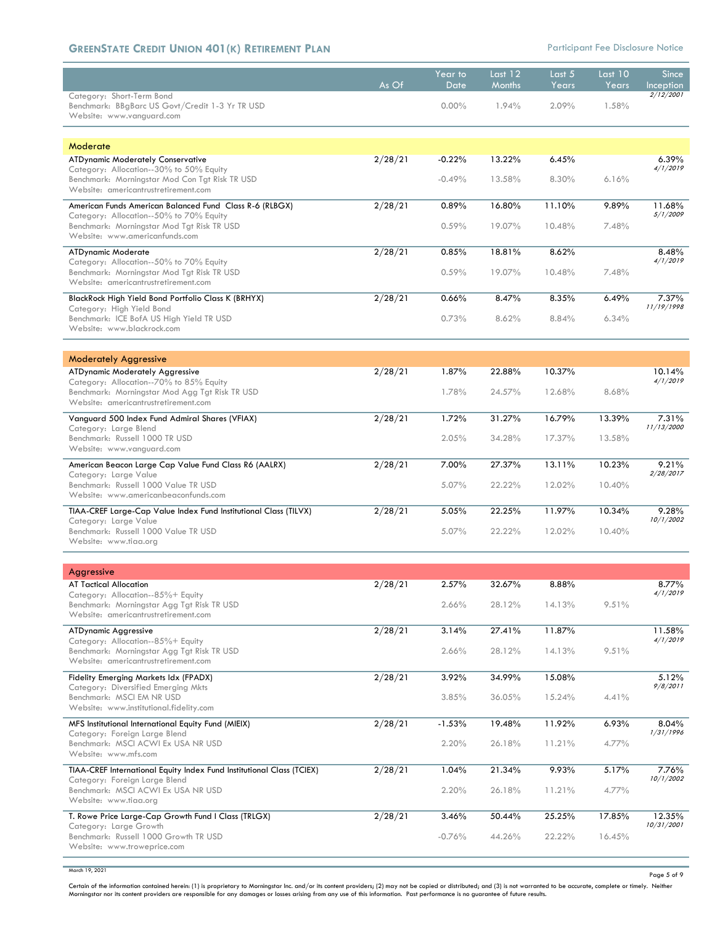## **GREENSTATE CREDIT UNION 401(K) RETIREMENT PLAN<br>
<b>CALCE 10** Participant Fee Disclosure Notice

|                                                                                                                                   | As Of   | Year to<br>Date | Last $12$<br><b>Months</b> | Last 5<br>Years | Last $10$<br>Years | <b>Since</b><br>Inception |
|-----------------------------------------------------------------------------------------------------------------------------------|---------|-----------------|----------------------------|-----------------|--------------------|---------------------------|
| Category: Short-Term Bond<br>Benchmark: BBgBarc US Govt/Credit 1-3 Yr TR USD<br>Website: www.vanguard.com                         |         | $0.00\%$        | 1.94%                      | 2.09%           | 1.58%              | 2/12/2001                 |
| Moderate                                                                                                                          |         |                 |                            |                 |                    |                           |
| <b>ATDynamic Moderately Conservative</b>                                                                                          | 2/28/21 | $-0.22%$        | 13.22%                     | 6.45%           |                    | 6.39%                     |
| Category: Allocation--30% to 50% Equity<br>Benchmark: Morningstar Mod Con Tgt Risk TR USD<br>Website: americantrustretirement.com |         | $-0.49%$        | 13.58%                     | 8.30%           | 6.16%              | 4/1/2019                  |
| American Funds American Balanced Fund Class R-6 (RLBGX)                                                                           | 2/28/21 | 0.89%           | 16.80%                     | 11.10%          | 9.89%              | 11.68%                    |
| Category: Allocation--50% to 70% Equity<br>Benchmark: Morningstar Mod Tgt Risk TR USD<br>Website: www.americanfunds.com           |         | 0.59%           | 19.07%                     | 10.48%          | 7.48%              | 5/1/2009                  |
| <b>ATDynamic Moderate</b>                                                                                                         | 2/28/21 | 0.85%           | 18.81%                     | 8.62%           |                    | 8.48%<br>4/1/2019         |
| Category: Allocation--50% to 70% Equity<br>Benchmark: Morningstar Mod Tgt Risk TR USD<br>Website: americantrustretirement.com     |         | 0.59%           | 19.07%                     | 10.48%          | 7.48%              |                           |
| BlackRock High Yield Bond Portfolio Class K (BRHYX)<br>Category: High Yield Bond                                                  | 2/28/21 | 0.66%           | 8.47%                      | 8.35%           | 6.49%              | 7.37%<br>11/19/1998       |
| Benchmark: ICE BofA US High Yield TR USD<br>Website: www.blackrock.com                                                            |         | 0.73%           | 8.62%                      | 8.84%           | 6.34%              |                           |
| <b>Moderately Aggressive</b>                                                                                                      |         |                 |                            |                 |                    |                           |
| <b>ATDynamic Moderately Aggressive</b><br>Category: Allocation--70% to 85% Equity                                                 | 2/28/21 | 1.87%           | 22.88%                     | 10.37%          |                    | 10.14%<br>4/1/2019        |
| Benchmark: Morningstar Mod Agg Tgt Risk TR USD<br>Website: americantrustretirement.com                                            |         | 1.78%           | 24.57%                     | 12.68%          | 8.68%              |                           |
| Vanguard 500 Index Fund Admiral Shares (VFIAX)<br>Category: Large Blend                                                           | 2/28/21 | 1.72%           | 31.27%                     | 16.79%          | 13.39%             | 7.31%<br>11/13/2000       |
| Benchmark: Russell 1000 TR USD<br>Website: www.vanguard.com                                                                       |         | 2.05%           | 34.28%                     | 17.37%          | 13.58%             |                           |
| American Beacon Large Cap Value Fund Class R6 (AALRX)<br>Category: Large Value                                                    | 2/28/21 | 7.00%           | 27.37%                     | 13.11%          | 10.23%             | 9.21%<br>2/28/2017        |
| Benchmark: Russell 1000 Value TR USD<br>Website: www.americanbeaconfunds.com                                                      |         | 5.07%           | 22.22%                     | 12.02%          | 10.40%             |                           |
| TIAA-CREF Large-Cap Value Index Fund Institutional Class (TILVX)<br>Category: Large Value                                         | 2/28/21 | 5.05%           | 22.25%                     | 11.97%          | 10.34%             | 9.28%<br>10/1/2002        |
| Benchmark: Russell 1000 Value TR USD<br>Website: www.tiaa.org                                                                     |         | 5.07%           | 22.22%                     | 12.02%          | 10.40%             |                           |
|                                                                                                                                   |         |                 |                            |                 |                    |                           |
| Aggressive<br><b>AT Tactical Allocation</b>                                                                                       | 2/28/21 | 2.57%           | 32.67%                     | 8.88%           |                    | 8.77%                     |
| Category: Allocation--85%+ Equity<br>Benchmark: Morningstar Agg Tgt Risk TR USD                                                   |         | 2.66%           | 28.12%                     | 14.13%          | 9.51%              | 4/1/2019                  |
| Website: americantrustretirement.com                                                                                              |         |                 |                            |                 |                    |                           |
| <b>ATDynamic Aggressive</b><br>Category: Allocation--85%+ Equity                                                                  | 2/28/21 | 3.14%           | 27.41%                     | 11.87%          |                    | 11.58%<br>4/1/2019        |
| Benchmark: Morningstar Agg Tgt Risk TR USD<br>Website: americantrustretirement.com                                                |         | 2.66%           | 28.12%                     | 14.13%          | 9.51%              |                           |
| Fidelity Emerging Markets Idx (FPADX)<br>Category: Diversified Emerging Mkts                                                      | 2/28/21 | 3.92%           | 34.99%                     | 15.08%          |                    | 5.12%<br>9/8/2011         |
| Benchmark: MSCI EM NR USD<br>Website: www.institutional.fidelity.com                                                              |         | 3.85%           | 36.05%                     | 15.24%          | 4.41%              |                           |
| MFS Institutional International Equity Fund (MIEIX)<br>Category: Foreign Large Blend                                              | 2/28/21 | $-1.53%$        | 19.48%                     | 11.92%          | 6.93%              | 8.04%<br>1/31/1996        |
| Benchmark: MSCI ACWI Ex USA NR USD<br>Website: www.mfs.com                                                                        |         | 2.20%           | 26.18%                     | 11.21%          | 4.77%              |                           |
| TIAA-CREF International Equity Index Fund Institutional Class (TCIEX)<br>Category: Foreign Large Blend                            | 2/28/21 | 1.04%           | 21.34%                     | 9.93%           | 5.17%              | 7.76%<br>10/1/2002        |
| Benchmark: MSCI ACWI Ex USA NR USD<br>Website: www.tiaa.org                                                                       |         | 2.20%           | 26.18%                     | 11.21%          | 4.77%              |                           |
| T. Rowe Price Large-Cap Growth Fund I Class (TRLGX)                                                                               | 2/28/21 | 3.46%           | 50.44%                     | 25.25%          | 17.85%             | 12.35%<br>10/31/2001      |
| Category: Large Growth<br>Benchmark: Russell 1000 Growth TR USD<br>Website: www.troweprice.com                                    |         | $-0.76%$        | 44.26%                     | 22.22%          | 16.45%             |                           |
|                                                                                                                                   |         |                 |                            |                 |                    |                           |

March 19, 2021

Page 5 of 9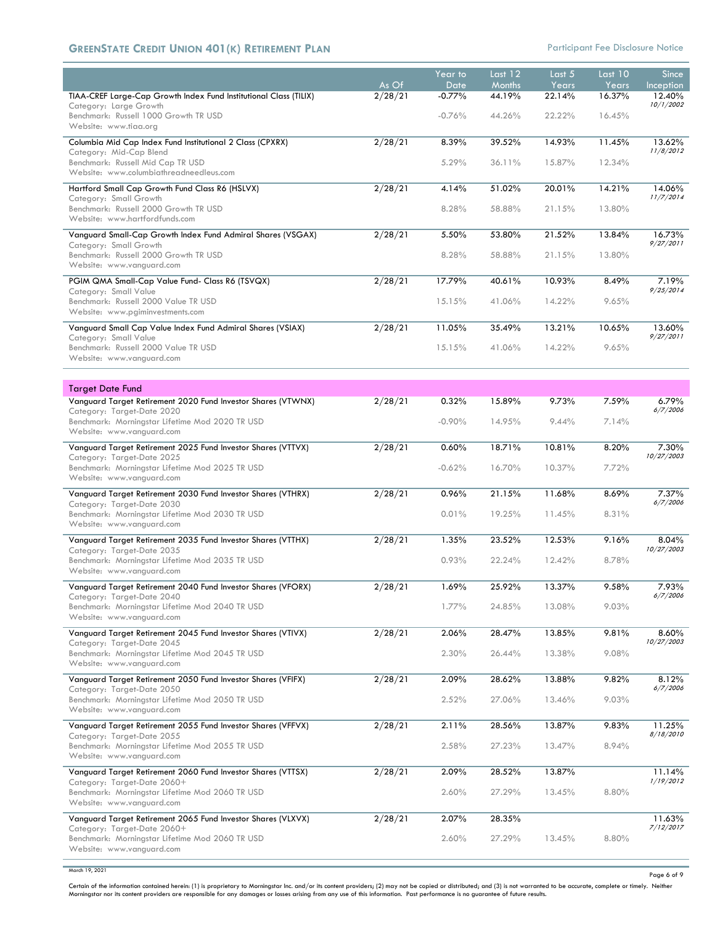## **GREENSTATE CREDIT UNION 401(K) RETIREMENT PLAN<br>
<b>CALCE 10** Participant Fee Disclosure Notice

|                                                                                                                                                                      |                  | Year to          | Last 12                 | Last 5          | Last 10         | <b>Since</b>        |
|----------------------------------------------------------------------------------------------------------------------------------------------------------------------|------------------|------------------|-------------------------|-----------------|-----------------|---------------------|
| TIAA-CREF Large-Cap Growth Index Fund Institutional Class (TILIX)                                                                                                    | As Of<br>2/28/21 | Date<br>$-0.77%$ | <b>Months</b><br>44.19% | Years<br>22.14% | Years<br>16.37% | Inception<br>12.40% |
| Category: Large Growth<br>Benchmark: Russell 1000 Growth TR USD                                                                                                      |                  | $-0.76%$         | 44.26%                  | 22.22%          | 16.45%          | 10/1/2002           |
| Website: www.tiaa.ora                                                                                                                                                | 2/28/21          | 8.39%            | 39.52%                  | 14.93%          | 11.45%          | 13.62%              |
| Columbia Mid Cap Index Fund Institutional 2 Class (CPXRX)<br>Category: Mid-Cap Blend<br>Benchmark: Russell Mid Cap TR USD<br>Website: www.columbiathreadneedleus.com |                  | 5.29%            | 36.11%                  | 15.87%          | 12.34%          | 11/8/2012           |
| Hartford Small Cap Growth Fund Class R6 (HSLVX)                                                                                                                      | 2/28/21          | 4.14%            | 51.02%                  | 20.01%          | 14.21%          | 14.06%              |
| Category: Small Growth<br>Benchmark: Russell 2000 Growth TR USD<br>Website: www.hartfordfunds.com                                                                    |                  | 8.28%            | 58.88%                  | 21.15%          | 13.80%          | 11/7/2014           |
| Vanguard Small-Cap Growth Index Fund Admiral Shares (VSGAX)                                                                                                          | 2/28/21          | 5.50%            | 53.80%                  | 21.52%          | 13.84%          | 16.73%              |
| Category: Small Growth<br>Benchmark: Russell 2000 Growth TR USD<br>Website: www.vanguard.com                                                                         |                  | 8.28%            | 58.88%                  | 21.15%          | 13.80%          | 9/27/2011           |
| PGIM QMA Small-Cap Value Fund- Class R6 (TSVQX)                                                                                                                      | 2/28/21          | 17.79%           | 40.61%                  | 10.93%          | 8.49%           | 7.19%               |
| Category: Small Value<br>Benchmark: Russell 2000 Value TR USD<br>Website: www.pgiminvestments.com                                                                    |                  | 15.15%           | 41.06%                  | 14.22%          | 9.65%           | 9/25/2014           |
| Vanguard Small Cap Value Index Fund Admiral Shares (VSIAX)                                                                                                           | 2/28/21          | 11.05%           | 35.49%                  | 13.21%          | 10.65%          | 13.60%              |
| Category: Small Value<br>Benchmark: Russell 2000 Value TR USD<br>Website: www.vanguard.com                                                                           |                  | 15.15%           | 41.06%                  | 14.22%          | 9.65%           | 9/27/2011           |
| <b>Target Date Fund</b>                                                                                                                                              |                  |                  |                         |                 |                 |                     |
| Vanguard Target Retirement 2020 Fund Investor Shares (VTWNX)                                                                                                         | 2/28/21          | 0.32%            | 15.89%                  | 9.73%           | 7.59%           | 6.79%<br>6/7/2006   |
| Category: Target-Date 2020<br>Benchmark: Morningstar Lifetime Mod 2020 TR USD<br>Website: www.vanguard.com                                                           |                  | $-0.90%$         | 14.95%                  | 9.44%           | 7.14%           |                     |
| Vanguard Target Retirement 2025 Fund Investor Shares (VTTVX)<br>Category: Target-Date 2025                                                                           | 2/28/21          | 0.60%            | 18.71%                  | 10.81%          | 8.20%           | 7.30%<br>10/27/2003 |
| Benchmark: Morningstar Lifetime Mod 2025 TR USD<br>Website: www.vanguard.com                                                                                         |                  | $-0.62%$         | 16.70%                  | 10.37%          | 7.72%           |                     |
| Vanguard Target Retirement 2030 Fund Investor Shares (VTHRX)                                                                                                         | 2/28/21          | 0.96%            | 21.15%                  | 11.68%          | 8.69%           | 7.37%<br>6/7/2006   |
| Category: Target-Date 2030<br>Benchmark: Morningstar Lifetime Mod 2030 TR USD<br>Website: www.vanguard.com                                                           |                  | 0.01%            | 19.25%                  | 11.45%          | 8.31%           |                     |
| Vanguard Target Retirement 2035 Fund Investor Shares (VTTHX)<br>Category: Target-Date 2035                                                                           | $\sqrt{2/28/21}$ | 1.35%            | 23.52%                  | 12.53%          | 9.16%           | 8.04%<br>10/27/2003 |
| Benchmark: Morningstar Lifetime Mod 2035 TR USD<br>Website: www.vanguard.com                                                                                         |                  | 0.93%            | 22.24%                  | 12.42%          | 8.78%           |                     |
| Vanguard Target Retirement 2040 Fund Investor Shares (VFORX)                                                                                                         | 2/28/21          | 1.69%            | 25.92%                  | 13.37%          | 9.58%           | 7.93%<br>6/7/2006   |
| Category: Target-Date 2040<br>Benchmark: Morningstar Lifetime Mod 2040 TR USD<br>Website: www.vanguard.com                                                           |                  | $1.77\%$         | 24.85%                  | 13.08%          | 9.03%           |                     |
| Vanguard Target Retirement 2045 Fund Investor Shares (VTIVX)<br>Category: Target-Date 2045                                                                           | 2/28/21          | 2.06%            | 28.47%                  | 13.85%          | 9.81%           | 8.60%<br>10/27/2003 |
| Benchmark: Morningstar Lifetime Mod 2045 TR USD<br>Website: www.vanguard.com                                                                                         |                  | 2.30%            | 26.44%                  | 13.38%          | 9.08%           |                     |
| Vanguard Target Retirement 2050 Fund Investor Shares (VFIFX)<br>Category: Target-Date 2050                                                                           | 2/28/21          | 2.09%            | 28.62%                  | 13.88%          | 9.82%           | 8.12%<br>6/7/2006   |
| Benchmark: Morningstar Lifetime Mod 2050 TR USD<br>Website: www.vanguard.com                                                                                         |                  | 2.52%            | 27.06%                  | 13.46%          | 9.03%           |                     |
| Vanguard Target Retirement 2055 Fund Investor Shares (VFFVX)                                                                                                         | 2/28/21          | 2.11%            | 28.56%                  | 13.87%          | 9.83%           | 11.25%<br>8/18/2010 |
| Category: Target-Date 2055<br>Benchmark: Morningstar Lifetime Mod 2055 TR USD<br>Website: www.vanguard.com                                                           |                  | 2.58%            | 27.23%                  | 13.47%          | 8.94%           |                     |
| Vanguard Target Retirement 2060 Fund Investor Shares (VTTSX)                                                                                                         | 2/28/21          | 2.09%            | 28.52%                  | 13.87%          |                 | 11.14%<br>1/19/2012 |
| Category: Target-Date 2060+<br>Benchmark: Morningstar Lifetime Mod 2060 TR USD<br>Website: www.vanguard.com                                                          |                  | 2.60%            | 27.29%                  | 13.45%          | 8.80%           |                     |
| Vanguard Target Retirement 2065 Fund Investor Shares (VLXVX)                                                                                                         | 2/28/21          | 2.07%            | 28.35%                  |                 |                 | 11.63%<br>7/12/2017 |
| Category: Target-Date 2060+<br>Benchmark: Morningstar Lifetime Mod 2060 TR USD<br>Website: www.vanguard.com                                                          |                  | 2.60%            | 27.29%                  | 13.45%          | 8.80%           |                     |

March 19, 2021

Page 6 of 9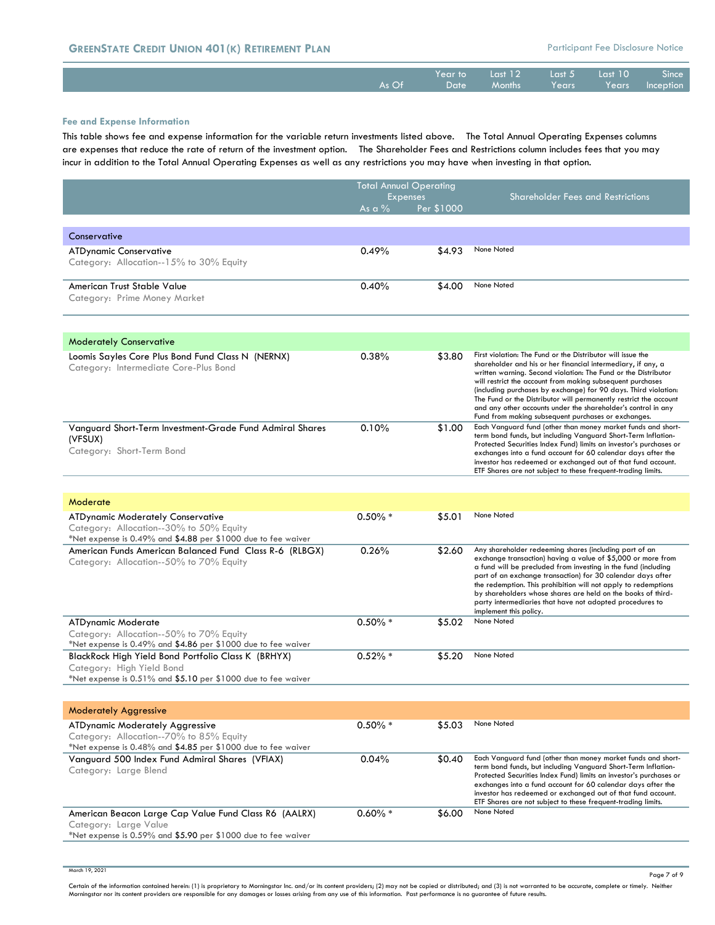| <b>GREENSTATE CREDIT UNION 401(K) RETIREMENT PLAN</b> |                 |                 |                             |                    | <b>Participant Fee Disclosure Notice</b>  |                    |
|-------------------------------------------------------|-----------------|-----------------|-----------------------------|--------------------|-------------------------------------------|--------------------|
|                                                       | $As$ $\Omega f$ | Year to<br>Date | Last $127$<br><b>Months</b> | Last $51$<br>Years | $\overline{\phantom{0}}$ Last 10<br>Years | Since<br>Inception |
|                                                       |                 |                 |                             |                    |                                           |                    |

#### **Fee and Expense Information**

This table shows fee and expense information for the variable return investments listed above. The Total Annual Operating Expenses columns are expenses that reduce the rate of return of the investment option. The Shareholder Fees and Restrictions column includes fees that you may incur in addition to the Total Annual Operating Expenses as well as any restrictions you may have when investing in that option.

|                                                                                                                                                      |            | <b>Total Annual Operating</b> |                                                                                                                                                                                                                                                                                                                                                                                                                                                                                                                             |
|------------------------------------------------------------------------------------------------------------------------------------------------------|------------|-------------------------------|-----------------------------------------------------------------------------------------------------------------------------------------------------------------------------------------------------------------------------------------------------------------------------------------------------------------------------------------------------------------------------------------------------------------------------------------------------------------------------------------------------------------------------|
|                                                                                                                                                      | As a $\%$  | <b>Expenses</b><br>Per \$1000 | <b>Shareholder Fees and Restrictions</b>                                                                                                                                                                                                                                                                                                                                                                                                                                                                                    |
|                                                                                                                                                      |            |                               |                                                                                                                                                                                                                                                                                                                                                                                                                                                                                                                             |
| Conservative                                                                                                                                         |            |                               |                                                                                                                                                                                                                                                                                                                                                                                                                                                                                                                             |
| <b>ATDynamic Conservative</b><br>Category: Allocation--15% to 30% Equity                                                                             | 0.49%      | \$4.93                        | None Noted                                                                                                                                                                                                                                                                                                                                                                                                                                                                                                                  |
| American Trust Stable Value<br>Category: Prime Money Market                                                                                          | 0.40%      | \$4.00                        | None Noted                                                                                                                                                                                                                                                                                                                                                                                                                                                                                                                  |
|                                                                                                                                                      |            |                               |                                                                                                                                                                                                                                                                                                                                                                                                                                                                                                                             |
| <b>Moderately Conservative</b>                                                                                                                       |            |                               |                                                                                                                                                                                                                                                                                                                                                                                                                                                                                                                             |
| Loomis Sayles Core Plus Bond Fund Class N (NERNX)<br>Category: Intermediate Core-Plus Bond                                                           | 0.38%      | \$3.80                        | First violation: The Fund or the Distributor will issue the<br>shareholder and his or her financial intermediary, if any, a<br>written warning. Second violation: The Fund or the Distributor<br>will restrict the account from making subsequent purchases<br>(including purchases by exchange) for 90 days. Third violation:<br>The Fund or the Distributor will permanently restrict the account<br>and any other accounts under the shareholder's control in any<br>Fund from making subsequent purchases or exchanges. |
| Vanguard Short-Term Investment-Grade Fund Admiral Shares<br>(VFSUX)<br>Category: Short-Term Bond                                                     | 0.10%      | \$1.00                        | Each Vanguard fund (other than money market funds and short-<br>term bond funds, but including Vanguard Short-Term Inflation-<br>Protected Securities Index Fund) limits an investor's purchases or<br>exchanges into a fund account for 60 calendar days after the<br>investor has redeemed or exchanged out of that fund account.<br>ETF Shares are not subject to these frequent-trading limits.                                                                                                                         |
|                                                                                                                                                      |            |                               |                                                                                                                                                                                                                                                                                                                                                                                                                                                                                                                             |
| Moderate                                                                                                                                             |            |                               |                                                                                                                                                                                                                                                                                                                                                                                                                                                                                                                             |
| ATDynamic Moderately Conservative<br>Category: Allocation--30% to 50% Equity<br>*Net expense is 0.49% and \$4.88 per \$1000 due to fee waiver        | $0.50\%$ * | \$5.01                        | None Noted                                                                                                                                                                                                                                                                                                                                                                                                                                                                                                                  |
| American Funds American Balanced Fund Class R-6 (RLBGX)<br>Category: Allocation--50% to 70% Equity                                                   | 0.26%      | \$2.60                        | Any shareholder redeeming shares (including part of an<br>exchange transaction) having a value of \$5,000 or more from<br>a fund will be precluded from investing in the fund (including<br>part of an exchange transaction) for 30 calendar days after<br>the redemption. This prohibition will not apply to redemptions<br>by shareholders whose shares are held on the books of third-<br>party intermediaries that have not adopted procedures to<br>implement this policy.                                             |
| <b>ATDynamic Moderate</b><br>Category: Allocation--50% to 70% Equity                                                                                 | $0.50\% *$ | \$5.02                        | None Noted                                                                                                                                                                                                                                                                                                                                                                                                                                                                                                                  |
| *Net expense is 0.49% and \$4.86 per \$1000 due to fee waiver                                                                                        |            |                               |                                                                                                                                                                                                                                                                                                                                                                                                                                                                                                                             |
| BlackRock High Yield Bond Portfolio Class K (BRHYX)<br>Category: High Yield Bond<br>*Net expense is $0.51\%$ and \$5.10 per \$1000 due to fee waiver | $0.52\% *$ | \$5.20                        | None Noted                                                                                                                                                                                                                                                                                                                                                                                                                                                                                                                  |
|                                                                                                                                                      |            |                               |                                                                                                                                                                                                                                                                                                                                                                                                                                                                                                                             |
| <b>Moderately Aggressive</b>                                                                                                                         |            |                               |                                                                                                                                                                                                                                                                                                                                                                                                                                                                                                                             |
| <b>ATDynamic Moderately Aggressive</b><br>Category: Allocation--70% to 85% Equity<br>*Net expense is 0.48% and \$4.85 per \$1000 due to fee waiver   | $0.50\% *$ | \$5.03                        | None Noted                                                                                                                                                                                                                                                                                                                                                                                                                                                                                                                  |
| Vanguard 500 Index Fund Admiral Shares (VFIAX)<br>Category: Large Blend                                                                              | 0.04%      | \$0.40                        | Each Vanguard fund (other than money market funds and short-<br>term bond funds, but including Vanguard Short-Term Inflation-<br>Protected Securities Index Fund) limits an investor's purchases or<br>exchanges into a fund account for 60 calendar days after the<br>investor has redeemed or exchanged out of that fund account.<br>ETF Shares are not subject to these frequent-trading limits.                                                                                                                         |
| American Beacon Large Cap Value Fund Class R6 (AALRX)<br>Category: Large Value<br>*Net expense is 0.59% and \$5.90 per \$1000 due to fee waiver      | $0.60\% *$ | \$6.00                        | None Noted                                                                                                                                                                                                                                                                                                                                                                                                                                                                                                                  |
|                                                                                                                                                      |            |                               |                                                                                                                                                                                                                                                                                                                                                                                                                                                                                                                             |

March 19, 2021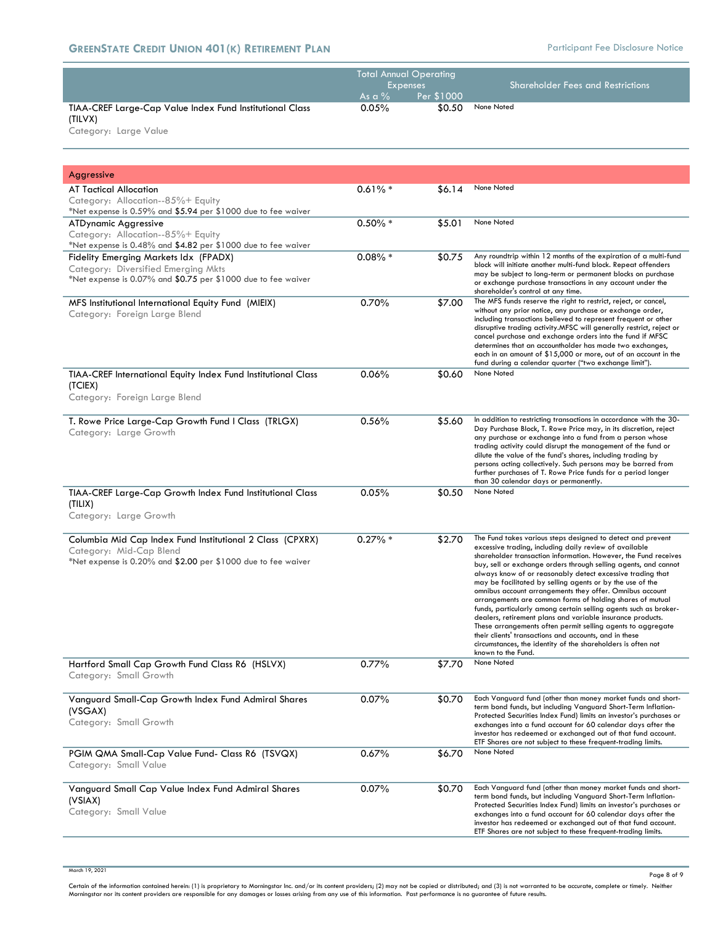| <b>Total Annual Operating</b><br><b>Shareholder Fees and Restrictions</b> |
|---------------------------------------------------------------------------|
| Per \$1000                                                                |
| None Noted<br>\$0.50                                                      |
|                                                                           |
|                                                                           |

Category: Large Value

| Aggressive                                                                                                                                               |            |        |                                                                                                                                                                                                                                                                                                                                                                                                                                                                                                                                                                                                                                                                                                                                                                                                                                                                  |
|----------------------------------------------------------------------------------------------------------------------------------------------------------|------------|--------|------------------------------------------------------------------------------------------------------------------------------------------------------------------------------------------------------------------------------------------------------------------------------------------------------------------------------------------------------------------------------------------------------------------------------------------------------------------------------------------------------------------------------------------------------------------------------------------------------------------------------------------------------------------------------------------------------------------------------------------------------------------------------------------------------------------------------------------------------------------|
| AT Tactical Allocation                                                                                                                                   | $0.61\% *$ | \$6.14 | None Noted                                                                                                                                                                                                                                                                                                                                                                                                                                                                                                                                                                                                                                                                                                                                                                                                                                                       |
| Category: Allocation--85%+ Equity<br>*Net expense is 0.59% and \$5.94 per \$1000 due to fee waiver                                                       |            |        |                                                                                                                                                                                                                                                                                                                                                                                                                                                                                                                                                                                                                                                                                                                                                                                                                                                                  |
| <b>ATDynamic Aggressive</b>                                                                                                                              | $0.50\% *$ | \$5.01 | None Noted                                                                                                                                                                                                                                                                                                                                                                                                                                                                                                                                                                                                                                                                                                                                                                                                                                                       |
| Category: Allocation--85%+ Equity                                                                                                                        |            |        |                                                                                                                                                                                                                                                                                                                                                                                                                                                                                                                                                                                                                                                                                                                                                                                                                                                                  |
| *Net expense is $0.48\%$ and \$4.82 per \$1000 due to fee waiver<br>Fidelity Emerging Markets Idx (FPADX)                                                | $0.08\% *$ | \$0.75 | Any roundtrip within 12 months of the expiration of a multi-fund                                                                                                                                                                                                                                                                                                                                                                                                                                                                                                                                                                                                                                                                                                                                                                                                 |
| Category: Diversified Emerging Mkts<br>*Net expense is 0.07% and $$0.75$ per \$1000 due to fee waiver                                                    |            |        | block will initiate another multi-fund block. Repeat offenders<br>may be subject to long-term or permanent blocks on purchase<br>or exchange purchase transactions in any account under the<br>shareholder's control at any time.                                                                                                                                                                                                                                                                                                                                                                                                                                                                                                                                                                                                                                |
| MFS Institutional International Equity Fund (MIEIX)<br>Category: Foreign Large Blend                                                                     | 0.70%      | \$7.00 | The MFS funds reserve the right to restrict, reject, or cancel,<br>without any prior notice, any purchase or exchange order,<br>including transactions believed to represent frequent or other<br>disruptive trading activity.MFSC will generally restrict, reject or<br>cancel purchase and exchange orders into the fund if MFSC<br>determines that an accountholder has made two exchanges,<br>each in an amount of \$15,000 or more, out of an account in the<br>fund during a calendar quarter ("two exchange limit").                                                                                                                                                                                                                                                                                                                                      |
| TIAA-CREF International Equity Index Fund Institutional Class                                                                                            | 0.06%      | \$0.60 | None Noted                                                                                                                                                                                                                                                                                                                                                                                                                                                                                                                                                                                                                                                                                                                                                                                                                                                       |
| (TCIEX)<br>Category: Foreign Large Blend                                                                                                                 |            |        |                                                                                                                                                                                                                                                                                                                                                                                                                                                                                                                                                                                                                                                                                                                                                                                                                                                                  |
| T. Rowe Price Large-Cap Growth Fund I Class (TRLGX)<br>Category: Large Growth                                                                            | 0.56%      | \$5.60 | In addition to restricting transactions in accordance with the 30-<br>Day Purchase Block, T. Rowe Price may, in its discretion, reject<br>any purchase or exchange into a fund from a person whose<br>trading activity could disrupt the management of the fund or<br>dilute the value of the fund's shares, including trading by<br>persons acting collectively. Such persons may be barred from<br>further purchases of T. Rowe Price funds for a period longer<br>than 30 calendar days or permanently.                                                                                                                                                                                                                                                                                                                                                       |
| TIAA-CREF Large-Cap Growth Index Fund Institutional Class                                                                                                | 0.05%      | \$0.50 | None Noted                                                                                                                                                                                                                                                                                                                                                                                                                                                                                                                                                                                                                                                                                                                                                                                                                                                       |
| (TILIX)<br>Category: Large Growth                                                                                                                        |            |        |                                                                                                                                                                                                                                                                                                                                                                                                                                                                                                                                                                                                                                                                                                                                                                                                                                                                  |
| Columbia Mid Cap Index Fund Institutional 2 Class (CPXRX)<br>Category: Mid-Cap Blend<br>*Net expense is $0.20\%$ and \$2.00 per \$1000 due to fee waiver | $0.27\%$ * | \$2.70 | The Fund takes various steps designed to detect and prevent<br>excessive trading, including daily review of available<br>shareholder transaction information. However, the Fund receives<br>buy, sell or exchange orders through selling agents, and cannot<br>always know of or reasonably detect excessive trading that<br>may be facilitated by selling agents or by the use of the<br>omnibus account arrangements they offer. Omnibus account<br>arrangements are common forms of holding shares of mutual<br>funds, particularly among certain selling agents such as broker-<br>dealers, retirement plans and variable insurance products.<br>These arrangements often permit selling agents to aggregate<br>their clients' transactions and accounts, and in these<br>circumstances, the identity of the shareholders is often not<br>known to the Fund. |
| Hartford Small Cap Growth Fund Class R6 (HSLVX)<br>Category: Small Growth                                                                                | 0.77%      | \$7.70 | None Noted                                                                                                                                                                                                                                                                                                                                                                                                                                                                                                                                                                                                                                                                                                                                                                                                                                                       |
| Vanguard Small-Cap Growth Index Fund Admiral Shares<br>(VSGAX)<br>Category: Small Growth                                                                 | 0.07%      | \$0.70 | Each Vanguard fund (other than money market funds and short-<br>term bond funds, but including Vanguard Short-Term Inflation-<br>Protected Securities Index Fund) limits an investor's purchases or<br>exchanges into a fund account for 60 calendar days after the<br>investor has redeemed or exchanged out of that fund account.<br>ETF Shares are not subject to these frequent-trading limits.                                                                                                                                                                                                                                                                                                                                                                                                                                                              |
| PGIM QMA Small-Cap Value Fund- Class R6 (TSVQX)<br>Category: Small Value                                                                                 | 0.67%      | \$6.70 | None Noted                                                                                                                                                                                                                                                                                                                                                                                                                                                                                                                                                                                                                                                                                                                                                                                                                                                       |
| Vanguard Small Cap Value Index Fund Admiral Shares<br>(VSIAX)<br>Category: Small Value                                                                   | 0.07%      | \$0.70 | Each Vanguard fund (other than money market funds and short-<br>term bond funds, but including Vanguard Short-Term Inflation-<br>Protected Securities Index Fund) limits an investor's purchases or<br>exchanges into a fund account for 60 calendar days after the<br>investor has redeemed or exchanged out of that fund account.<br>ETF Shares are not subject to these frequent-trading limits.                                                                                                                                                                                                                                                                                                                                                                                                                                                              |

March 19, 2021